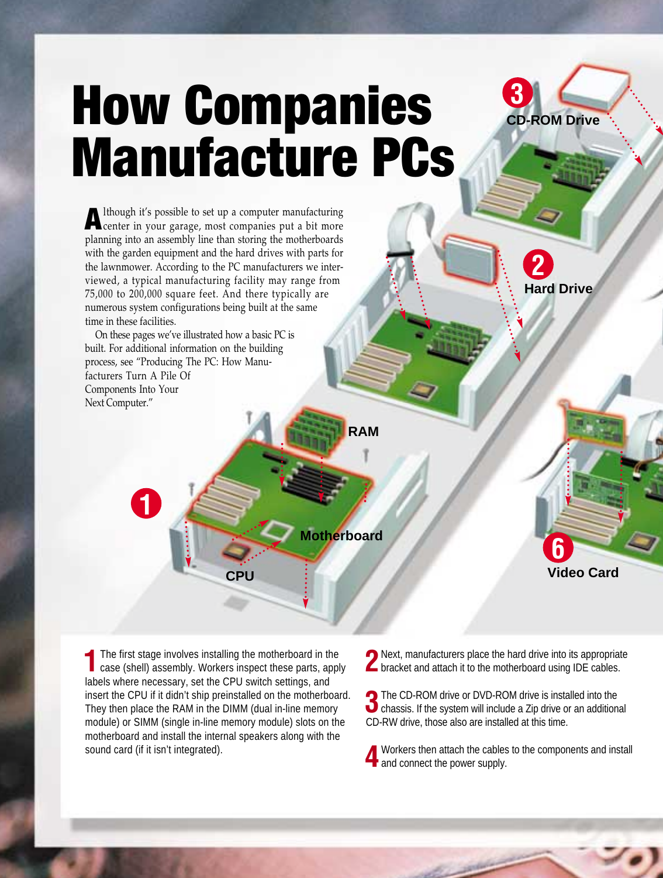## **How Companies Manufacture PCs**



**2**

**Hard Drive**

Although it's possible to set up a computer manufacturing<br>center in your garage, most companies put a bit more planning into an assembly line than storing the motherboards with the garden equipment and the hard drives with parts for the lawnmower. According to the PC manufacturers we interviewed, a typical manufacturing facility may range from 75,000 to 200,000 square feet. And there typically are numerous system configurations being built at the same time in these facilities.

On these pages we've illustrated how a basic PC is built. For additional information on the building process, see "Producing The PC: How Manufacturers Turn A Pile Of Components Into Your Next Computer."

**1**

**RAM**

**Motherboard**

**6 Video Card**

The first stage involves installing the motherboard in the case (shell) assembly. Workers inspect these parts, apply labels where necessary, set the CPU switch settings, and insert the CPU if it didn't ship preinstalled on the motherboard. They then place the RAM in the DIMM (dual in-line memory module) or SIMM (single in-line memory module) slots on the motherboard and install the internal speakers along with the sound card (if it isn't integrated).

**CPU**

**2** Next, manufacturers place the hard drive into its appropriate<br>bracket and attach it to the motherboard using IDE cables.

**3**The CD-ROM drive or DVD-ROM drive is installed into the chassis. If the system will include a Zip drive or an additional CD-RW drive, those also are installed at this time.

**4**Workers then attach the cables to the components and install  $\blacksquare$  and connect the power supply.